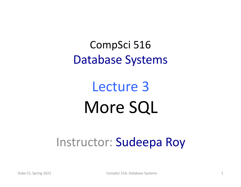CompSci 516 Database Systems

# Lecture 3 More SQL

### Instructor: Sudeepa Roy

Duke CS, Spring 2022 **CompSci 516: Database Systems** 1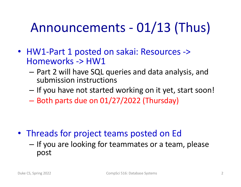# Announcements - 01/13 (Thus)

- HW1-Part 1 posted on sakai: Resources -> Homeworks -> HW1
	- Part 2 will have SQL queries and data analysis, and submission instructions
	- If you have not started working on it yet, start soon!
	- Both parts due on 01/27/2022 (Thursday)

- Threads for project teams posted on Ed
	- If you are looking for teammates or a team, please post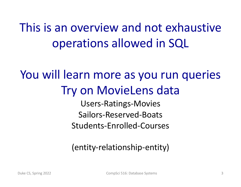This is an overview and not exhaustive operations allowed in SQL

### You will learn more as you run queries Try on MovieLens data

Users-Ratings-Movies Sailors-Reserved-Boats Students-Enrolled-Courses

### (entity-relationship-entity)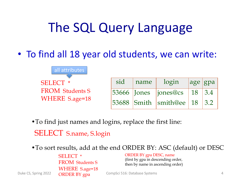## The SQL Query Language

• To find all 18 year old students, we can write:



•To find just names and logins, replace the first line:

SELECT S.name, S.login

•To sort results, add at the end ORDER BY: ASC (default) or DESC

SELECT \* FROM Students S WHERE S.age=18 ORDER BY gpa

ORDER BY gpa DESC, name (first by gpa in descending order, then by name in ascending order)

Duke CS, Spring 2022 4 CompSci 516: Database Systems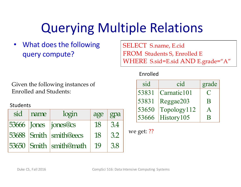# Querying Multiple Relations

• What does the following query compute?

SELECT S.name, E.cid FROM Students S, Enrolled E WHERE S.sid=E.sid AND E.grade="A"

#### Given the following instances of Enrolled and Students:

#### Students

| sid | Iname | login                  | age | gpa |
|-----|-------|------------------------|-----|-----|
|     |       | 53666 Jones  jones@cs  | 18  | 3.4 |
|     |       | 53688 Smith smith@eecs | 18  | 3.2 |
|     |       | 53650 Smith smith@math | 19  | 3.8 |

| sid    | cid         | grade       |
|--------|-------------|-------------|
| 53831  | Carnatic101 | $\mathbf C$ |
| 53831  | Reggae203   | B           |
| 53650  | Topology112 |             |
| 153666 | History105  | R           |

we get: ??

Enrolled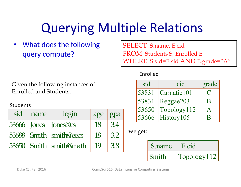# Querying Multiple Relations

• What does the following query compute?

Given the following instances of Enrolled and Students:

#### Students

| sid | I name | login                  | $age \mid$ | gpa |
|-----|--------|------------------------|------------|-----|
|     |        | 53666 Jones  jones@cs  | 18         | 3.4 |
|     |        | 53688 Smith smith@eecs | 18         | 3.2 |
|     |        | 53650 Smith smith@math | 19         | 3.8 |

SELECT S.name, E.cid FROM Students S, Enrolled E WHERE S.sid=E.sid AND E.grade="A"

#### Enrolled

| sid   | cid         | grade                                             |
|-------|-------------|---------------------------------------------------|
| 53831 | Carnatic101 | $\left(\begin{array}{c} \cdot \end{array}\right)$ |
| 53831 | Reggae203   | B                                                 |
| 53650 | Topology112 |                                                   |
| 53666 | History105  |                                                   |

we get:

| S.name | E.cid       |
|--------|-------------|
| Smith  | Topology112 |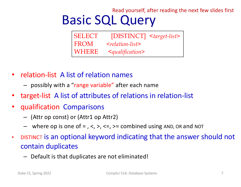#### Read yourself, after reading the next few slides first

# Basic SQL Query

| <b>SELECT</b> | [DISTINCT] <target-list></target-list> |  |
|---------------|----------------------------------------|--|
| <b>FROM</b>   | $\leq$ relation-list $>$               |  |
| WHERE         | $\leq$ qualification>                  |  |

- relation-list A list of relation names
	- possibly with a "range variable" after each name
- target-list A list of attributes of relations in relation-list
- qualification Comparisons
	- (Attr op const) or (Attr1 op Attr2)
	- where op is one of  $=$  ,  $\lt$ ,  $\gt$ ,  $\lt$  =,  $\gt$  = combined using AND, OR and NOT
- DISTINCT is an optional keyword indicating that the answer should not contain duplicates
	- Default is that duplicates are not eliminated!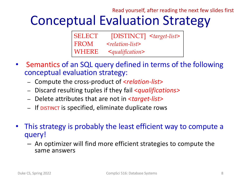### Conceptual Evaluation Strategy Read yourself, after reading the next few slides first

| <b>SELECT</b> | $[DISTINCT]$ < target-list> |  |
|---------------|-----------------------------|--|
| <b>FROM</b>   | $\leq$ relation-list $>$    |  |
| WHERE         | $\leq$ qualification>       |  |

- Semantics of an SQL query defined in terms of the following conceptual evaluation strategy:
	- Compute the cross-product of <*relation-list*>
	- Discard resulting tuples if they fail <*qualifications>*
	- Delete attributes that are not in <*target-list>*
	- If DISTINCT is specified, eliminate duplicate rows
- This strategy is probably the least efficient way to compute a query!
	- An optimizer will find more efficient strategies to compute the same answers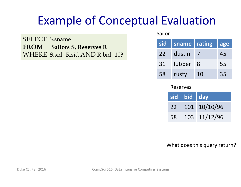SELECT S.sname **FROM Sailors S, Reserves R** WHERE S.sid=R.sid AND R.bid=103 Sailor

| sid | sname  | rating        | lage |
|-----|--------|---------------|------|
| 22  | dustin |               | 45   |
| 31  | lubber | $\mathcal{R}$ | 55   |
| 58  | rusty  | 10            | 35   |

Reserves

|    | sid bid day |                  |
|----|-------------|------------------|
| 22 |             | $101 \t10/10/96$ |
| 58 |             | 103 11/12/96     |

What does this query return?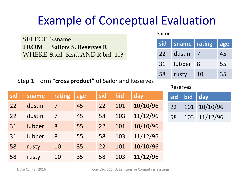|                                                            | Sallor |                     |                            |    |
|------------------------------------------------------------|--------|---------------------|----------------------------|----|
| <b>SELECT</b> S.sname<br><b>FROM</b> Sailors S, Reserves R |        |                     | sid   sname   rating   age |    |
| WHERE S.sid=R.sid AND R.bid=103                            | 22     | dustin <sub>7</sub> |                            | 45 |
|                                                            | 31     | lubber 8            |                            | 55 |
|                                                            | 58     | rusty               | 10                         | 35 |

Step 1: Form "**cross product"** of Sailor and Reserves

#### Reserves

 $\Omega$ silor  $\Omega$ 

| sid | sname  | rating | age | sid | bid | day      | $\overline{\mathbf{s}}$ |
|-----|--------|--------|-----|-----|-----|----------|-------------------------|
| 22  | dustin | 7      | 45  | 22  | 101 | 10/10/96 | $\overline{2}$          |
| 22  | dustin | 7      | 45  | 58  | 103 | 11/12/96 | 5                       |
| 31  | lubber | 8      | 55  | 22  | 101 | 10/10/96 |                         |
| 31  | lubber | 8      | 55  | 58  | 103 | 11/12/96 |                         |
| 58  | rusty  | 10     | 35  | 22  | 101 | 10/10/96 |                         |
| 58  | rusty  | 10     | 35  | 58  | 103 | 11/12/96 |                         |

|    | sid   bid   day |                 |
|----|-----------------|-----------------|
|    |                 | 22 101 10/10/96 |
| 58 |                 | 103 11/12/96    |

Duke CS, Fall 2016 CompSci 516: Data Intensive Computing Systems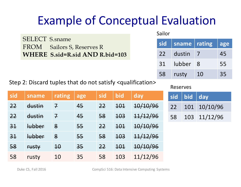SELECT S.sname FROM Sailors S, Reserves R **WHERE S.sid=R.sid AND R.bid=103** Sailor

| sid | sname  | rating | lage |
|-----|--------|--------|------|
| 22  | dustin |        | 45   |
| 31  | lubber | -8     | 55   |
| 58  | rusty  | 10     | 35   |

Step 2: Discard tuples that do not satisfy <qualification>

| sid            | sname         | rating          | age | sid | bid | day      |
|----------------|---------------|-----------------|-----|-----|-----|----------|
| 22             | dustin        | $\mathcal{I}$   | 45  | 22  | 404 | 10/10/96 |
| 22             | dustin        | $\mathcal{I}$   | 45  | 58  | 103 | 11/12/96 |
| 3 <sup>1</sup> | <b>lubber</b> | 8               | 55  | 22  | 404 | 10/10/96 |
| 31             | <b>lubber</b> | 8               | 55  | 58  | 103 | 11/12/96 |
| 58             | <b>rusty</b>  | $\overline{10}$ | 35  | 22  | 404 | 10/10/96 |
| 58             | rusty         | 10              | 35  | 58  | 103 | 11/12/96 |

#### Reserves

|    | sid bid day |                 |
|----|-------------|-----------------|
|    |             | 22 101 10/10/96 |
| 58 |             | 103 11/12/96    |

Duke CS, Fall 2016 **CompSci 516:** Data Intensive Computing Systems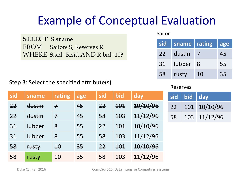**SELECT S.sname** FROM Sailors S, Reserves R WHERE S.sid=R.sid AND R.bid=103

#### Step 3: Select the specified attribute(s)

Sailor

| sid | sname  | rating | lage |
|-----|--------|--------|------|
| 22  | dustin |        | 45   |
| 31  | lubber | - 8    | 55   |
| 58  | rusty  | 10     | 35   |

#### Reserves

| sid            | sname         | rating          | age | sid | bid        | day      | si             |
|----------------|---------------|-----------------|-----|-----|------------|----------|----------------|
| 22             | dustin        | $\mathcal{I}$   | 45  | 22  | 101        | 10/10/96 | 2 <sup>1</sup> |
| 22             | dustin        | $\mathcal{I}$   | 45  | 58  | 103        | 11/12/96 | 5 <sub>i</sub> |
| 3 <sup>1</sup> | <u>lubber</u> | $8\overline{8}$ | 55  | 22  | <b>101</b> | 10/10/96 |                |
| 3 <sup>1</sup> | <u>lubber</u> | 8               | 55  | 58  | 103        | 11/12/96 |                |
| 58             | <b>rusty</b>  | $\overline{10}$ | 35  | 22  | 404        | 10/10/96 |                |
| 58             | rusty         | 10              | 35  | 58  | 103        | 11/12/96 |                |

|    | sid bid day |                 |
|----|-------------|-----------------|
|    |             | 22 101 10/10/96 |
| 58 |             | 103 11/12/96    |

Duke CS, Fall 2016 CompSci 516: Data Intensive Computing Systems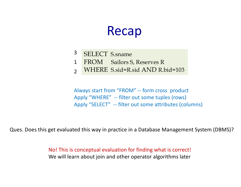### Recap

- SELECT S.sname 3
- FROM Sailors S, Reserves R 1
- WHERE S.sid=R.sid AND R.bid=103  $\overline{\mathcal{L}}$

Always start from "FROM" -- form cross product Apply "WHERE" -- filter out some tuples (rows) Apply "SELECT" -- filter out some attributes (columns)

Ques. Does this get evaluated this way in practice in a Database Management System (DBMS)?

No! This is conceptual evaluation for finding what is correct! We will learn about join and other operator algorithms later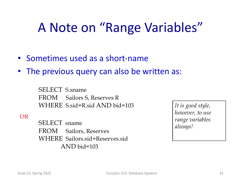## A Note on "Range Variables"

- Sometimes used as a short-name
- The previous query can also be written as:

SELECT S.sname FROM Sailors S, Reserves R WHERE S.sid=R.sid AND bid=103

OR

SELECT sname FROM Sailors, Reserves WHERE Sailors.sid=Reserves.sid AND bid=103

*It is good style, however, to use range variables always!*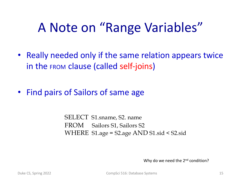## A Note on "Range Variables"

- Really needed only if the same relation appears twice in the FROM clause (called self-joins)
- Find pairs of Sailors of same age

SELECT S1.sname, S2. name FROM Sailors S1, Sailors S2 WHERE S1.age = S2.age AND S1.sid < S2.sid

Why do we need the 2<sup>nd</sup> condition?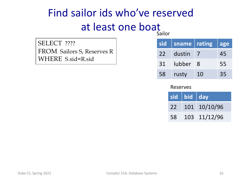### Find sailor ids who've reserved at least one boat Sailor

| SELECT ????                |
|----------------------------|
| FROM Sailors S, Reserves R |
| WHERE S.sid=R.sid          |

| sid | sname  | rating | lage |
|-----|--------|--------|------|
| 22  | dustin |        | 45   |
| 31  | lubber | - 8    | 55   |
| 58  | rusty  | 10     | 35   |

#### Reserves

|    | sid   bid   day |                 |
|----|-----------------|-----------------|
|    |                 | 22 101 10/10/96 |
| 58 |                 | 103 11/12/96    |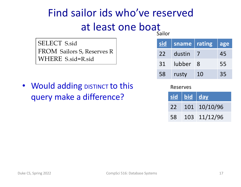#### Sailor Find sailor ids who've reserved at least one boat

SELECT S.sid FROM Sailors S, Reserves R WHERE S.sid=R.sid

• Would adding DISTINCT to this query make a difference?

| <u>sid</u> | sname  | rating        | lage |
|------------|--------|---------------|------|
| 22         | dustin |               | 45   |
| 31         | lubber | $\mathcal{R}$ | 55   |
| 58         | rusty  | 10            | 35   |

Reserves

|    | $\sqrt{\textsf{sid}\parallel\textsf{bid}\parallel\textsf{day}}$ |                 |
|----|-----------------------------------------------------------------|-----------------|
|    |                                                                 | 22 101 10/10/96 |
| 58 |                                                                 | 103 11/12/96    |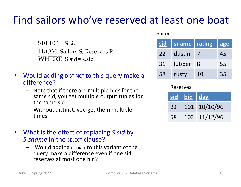### Find sailors who've reserved at least one boat

SELECT S.sid FROM Sailors S, Reserves R WHERE S.sid=R.sid

- Would adding DISTINCT to this query make a difference?
	- Note that if there are multiple bids for the same sid, you get multiple output tuples for the same sid
	- Without distinct, you get them multiple times
- What is the effect of replacing *S.sid* by *S. sname* in the SELECT clause?
	- $-$  Would adding  $D$  DISTINCT to this variant of the query make a difference even if one sid reserves at most one bid?

#### Sailor

| sid | sname  | rating        | lage |
|-----|--------|---------------|------|
| 22  | dustin |               | 45   |
| 31  | lubber | $\mathcal{S}$ | 55   |
| 58  | rusty  | 10            | 35   |

#### Reserves

|    | $\overline{\text{sid}}$   bid   day |                 |
|----|-------------------------------------|-----------------|
|    |                                     | 22 101 10/10/96 |
| 58 |                                     | 103 11/12/96    |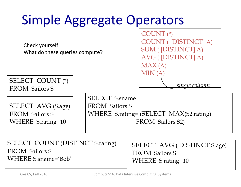| <b>Simple Aggregate Operators</b>                                |                                                |                                                                                                                  |  |  |
|------------------------------------------------------------------|------------------------------------------------|------------------------------------------------------------------------------------------------------------------|--|--|
| Check yourself:<br>What do these queries compute?                |                                                | COUNT <sub>(*)</sub><br><b>COUNT</b> ([DISTINCT] A)<br><b>SUM</b> ([DISTINCT] A)<br>AVG ([DISTINCT] A)<br>MAX(A) |  |  |
| SELECT COUNT (*)<br><b>FROM</b> Sailors S                        |                                                | MIN (A)<br><u>single column</u>                                                                                  |  |  |
| SELECT AVG (S.age)<br><b>FROM</b> Sailors S<br>WHERE S.rating=10 | <b>SELECT</b> S.sname<br><b>FROM</b> Sailors S | WHERE S.rating= (SELECT MAX(S2.rating)<br>FROM Sailors S2)                                                       |  |  |
|                                                                  |                                                |                                                                                                                  |  |  |

SELECT COUNT (DISTINCT S.rating) FROM Sailors S WHERE S.sname='Bob'

SELECT AVG ( DISTINCT S.age) FROM Sailors S WHERE S.rating=10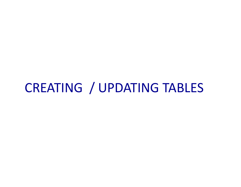### CREATING / UPDATING TABLES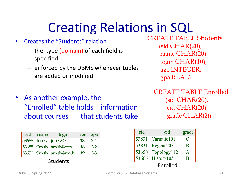# Creating Relations in SQL

- Creates the "Students" relation
	- the type (domain) of each field is specified
	- enforced by the DBMS whenever tuples are added or modified

CREATE TABLE Students (sid CHAR(20), name CHAR(20), login CHAR(10), age INTEGER, gpa REAL)

• As another example, the "Enrolled" table holds information about courses that students take CREATE TABLE Enrolled (sid CHAR(20), cid CHAR(20), grade CHAR(2))

| sid | name | login                  | age | gpa |
|-----|------|------------------------|-----|-----|
|     |      | 53666 Jones jones@cs   | 18  | 3.4 |
|     |      | 53688 Smith smith@eecs | 18  | 3.2 |
|     |      | 53650 Smith smith@math | 19  | 3.8 |

Students

| sid   | cid                                     | grade        |
|-------|-----------------------------------------|--------------|
| 53831 | $\lfloor$ Carnatic $\lfloor 01 \rfloor$ | C            |
| 53831 | Reggae203                               | B            |
| 53650 | Topology112                             | $\mathbf{A}$ |
| 53666 | History <sup>105</sup>                  | R            |
|       | Enrolled                                |              |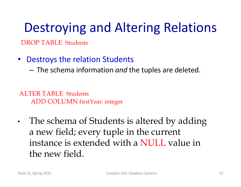# Destroying and Altering Relations

DROP TABLE Students

- Destroys the relation Students
	- The schema information *and* the tuples are deleted.

ALTER TABLE Students ADD COLUMN firstYear: integer

• The schema of Students is altered by adding a new field; every tuple in the current instance is extended with a NULL value in the new field.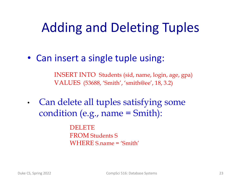# Adding and Deleting Tuples

• Can insert a single tuple using:

INSERT INTO Students (sid, name, login, age, gpa) VALUES (53688, 'Smith', 'smith@ee', 18, 3.2)

• Can delete all tuples satisfying some condition (e.g., name = Smith):

> DELETE FROM Students S WHERE S.name = 'Smith'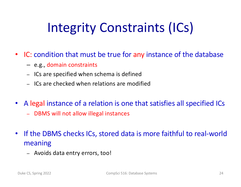# Integrity Constraints (ICs)

- IC: condition that must be true for any instance of the database
	- e.g., domain constraints
	- ICs are specified when schema is defined
	- ICs are checked when relations are modified
- A legal instance of a relation is one that satisfies all specified ICs
	- DBMS will not allow illegal instances
- If the DBMS checks ICs, stored data is more faithful to real-world meaning
	- Avoids data entry errors, too!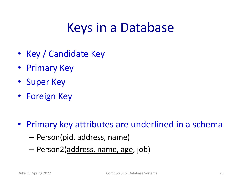## Keys in a Database

- Key / Candidate Key
- Primary Key
- Super Key
- Foreign Key
- Primary key attributes are underlined in a schema
	- Person(pid, address, name)
	- Person2(address, name, age, job)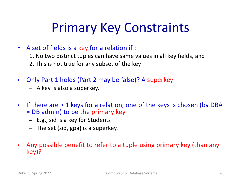# Primary Key Constraints

- A set of fields is a key for a relation if :
	- 1. No two distinct tuples can have same values in all key fields, and 2. This is not true for any subset of the key
- Only Part 1 holds (Part 2 may be false)? A superkey
	- A key is also a superkey.
- If there are > 1 keys for a relation, one of the keys is chosen (by DBA = DB admin) to be the primary key
	- E.g., sid is a key for Students
	- The set {sid, gpa} is a superkey.
- Any possible benefit to refer to a tuple using primary key (than any key)?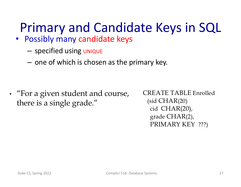- Possibly many candidate keys
	- specified using UNIQUE
	- one of which is chosen as the primary key.

• "For a given student and course, there is a single grade."

CREATE TABLE Enrolled (sid CHAR(20) cid CHAR(20), grade CHAR(2), PRIMARY KEY ???)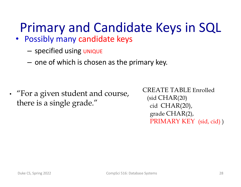- Possibly many candidate keys
	- specified using UNIQUE
	- one of which is chosen as the primary key.

• "For a given student and course, there is a single grade."

CREATE TABLE Enrolled (sid CHAR(20) cid CHAR(20), grade CHAR(2), PRIMARY KEY (sid, cid) )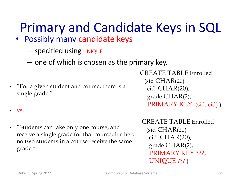- Possibly many candidate keys
	- specified using UNIQUE
	- one of which is chosen as the primary key.
- "For a given student and course, there is a single grade."

CREATE TABLE Enrolled (sid CHAR(20) cid CHAR(20), grade CHAR(2), PRIMARY KEY (sid, cid))

• vs.

• "Students can take only one course, and receive a single grade for that course; further, no two students in a course receive the same grade."

CREATE TABLE Enrolled

(sid CHAR(20) cid CHAR(20), grade CHAR(2), PRIMARY KEY ???, UNIQUE ??? )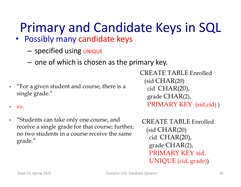- Possibly many candidate keys
	- specified using UNIQUE
	- one of which is chosen as the primary key.
- "For a given student and course, there is a single grade."
- vs.
- "Students can take only one course, and receive a single grade for that course; further, no two students in a course receive the same grade."

CREATE TABLE Enrolled (sid CHAR(20) cid CHAR(20), grade CHAR(2), PRIMARY KEY (sid,cid))

CREATE TABLE Enrolled (sid CHAR(20) cid CHAR(20), grade CHAR(2), PRIMARY KEY sid, UNIQUE (cid, grade))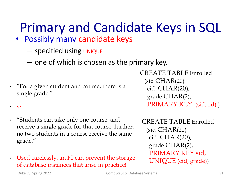- Possibly many candidate keys
	- specified using UNIQUE
	- one of which is chosen as the primary key.
- "For a given student and course, there is a single grade."
- vs.
- "Students can take only one course, and receive a single grade for that course; further, no two students in a course receive the same grade."

#### • Used carelessly, an IC can prevent the storage of database instances that arise in practice!

CREATE TABLE Enrolled (sid CHAR(20) cid CHAR(20), grade CHAR(2), PRIMARY KEY (sid,cid))

CREATE TABLE Enrolled (sid CHAR(20) cid CHAR(20), grade CHAR(2), PRIMARY KEY sid, UNIQUE (cid, grade))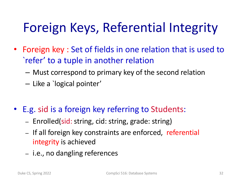# Foreign Keys, Referential Integrity

- Foreign key : Set of fields in one relation that is used to `refer' to a tuple in another relation
	- Must correspond to primary key of the second relation
	- Like a `logical pointer'
- E.g. sid is a foreign key referring to Students:
	- Enrolled(sid: string, cid: string, grade: string)
	- If all foreign key constraints are enforced, referential integrity is achieved
	- i.e., no dangling references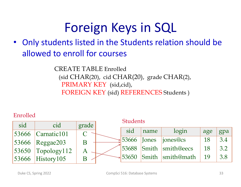# Foreign Keys in SQL

• Only students listed in the Students relation should be allowed to enroll for courses

> CREATE TABLE Enrolled (sid CHAR(20), cid CHAR(20), grade CHAR(2), PRIMARY KEY (sid,cid), FOREIGN KEY (sid) REFERENCES Students )

#### Enrolled

|     |                        |       | <b>Students</b> |       |                        |     |     |
|-----|------------------------|-------|-----------------|-------|------------------------|-----|-----|
| sid | cid                    | grade |                 |       |                        |     |     |
|     | $ 53666 $ Carnatic 101 |       | sid             | name  | login                  | age | gpa |
|     | $ 53666 $ Reggae203    | B     | 53666           | Jones | jones@cs               | 18  | 3.4 |
|     | $53650$ Topology112    | Α     |                 |       | 53688 Smith smith@eecs | 18  | 3.2 |
|     | $53666$ History 105    |       | 53650           |       | Smith smith@math       | 19  | 3.8 |
|     |                        |       |                 |       |                        |     |     |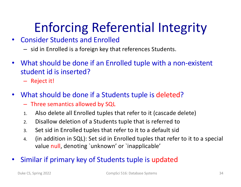# Enforcing Referential Integrity

#### • Consider Students and Enrolled

- sid in Enrolled is a foreign key that references Students.
- What should be done if an Enrolled tuple with a non-existent student id is inserted?
	- Reject it!
- What should be done if a Students tuple is deleted?
	- Three semantics allowed by SQL
	- 1. Also delete all Enrolled tuples that refer to it (cascade delete)
	- 2. Disallow deletion of a Students tuple that is referred to
	- 3. Set sid in Enrolled tuples that refer to it to a default sid
	- 4. (in addition in SQL): Set sid in Enrolled tuples that refer to it to a special value null, denoting `unknown' or `inapplicable'
- Similar if primary key of Students tuple is updated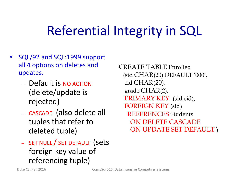## Referential Integrity in SQL

- SQL/92 and SQL:1999 support all 4 options on deletes and updates.
	- Default is NO ACTION (delete/update is rejected)
	- CASCADE (also delete all tuples that refer to deleted tuple)
	- SET NULL / SET DEFAULT (sets foreign key value of referencing tuple)

CREATE TABLE Enrolled (sid CHAR(20) DEFAULT '000', cid CHAR(20), grade CHAR(2), PRIMARY KEY (sid,cid), FOREIGN KEY (sid) REFERENCES Students ON DELETE CASCADE ON UPDATE SET DEFAULT )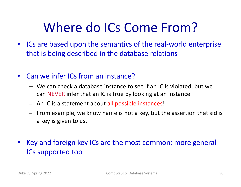# Where do ICs Come From?

- ICs are based upon the semantics of the real-world enterprise that is being described in the database relations
- Can we infer ICs from an instance?
	- We can check a database instance to see if an IC is violated, but we can NEVER infer that an IC is true by looking at an instance.
	- An IC is a statement about all possible instances!
	- From example, we know name is not a key, but the assertion that sid is a key is given to us.
- Key and foreign key ICs are the most common; more general ICs supported too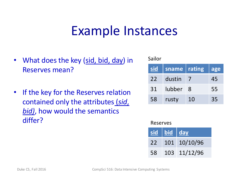### Example Instances

- What does the key (sid, bid, day) in Reserves mean?
- If the key for the Reserves relation contained only the attributes (*sid*, *bid)*, how would the semantics differ?

| Janul |        |        |     |
|-------|--------|--------|-----|
| sid   | sname  | rating | age |
| 22    | dustin |        | 45  |
| 31    | lubber | 8      | 55  |
| 58    | rusty  | 10     | 35  |

#### Reserves

Sailor

|    | sid bid day |              |
|----|-------------|--------------|
| 22 |             | 101 10/10/96 |
| 58 |             | 103 11/12/96 |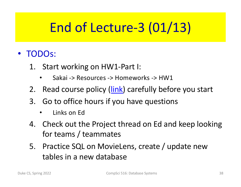# End of Lecture-3 (01/13)

- TODOs:
	- 1. Start working on HW1-Part I:
		- Sakai -> Resources -> Homeworks -> HW1
	- 2. Read course policy [\(link](https://courses.cs.duke.edu/spring22/compsci516/Lectures/CompSci516-HonorCode.pdf)) carefully before you start
	- 3. Go to office hours if you have questions
		- Links on Ed
	- 4. Check out the Project thread on Ed and keep looking for teams / teammates
	- 5. Practice SQL on MovieLens, create / update new tables in a new database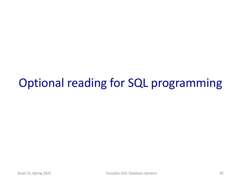### Optional reading for SQL programming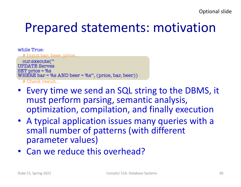## Prepared statements: motivation

| while True:                                            |
|--------------------------------------------------------|
| # Input bar, beer, price                               |
| cur.execute(""                                         |
| <b>UPDATE Serves</b>                                   |
| $SET$ price = %s                                       |
| WHERE $bar = \%s$ AND beer = %s"', (price, bar, beer)) |
| # Check result                                         |

- Every time we send an SQL string to the DBMS, it must perform parsing, semantic analysis, optimization, compilation, and finally execution
- A typical application issues many queries with a small number of patterns (with different parameter values)
- Can we reduce this overhead?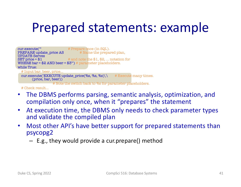## Prepared statements: example



# Check result...

- The DBMS performs parsing, semantic analysis, optimization, and compilation only once, when it "prepares" the statement
- At execution time, the DBMS only needs to check parameter types and validate the compiled plan
- Most other API's have better support for prepared statements than psycopg2
	- E.g., they would provide a cur.prepare() method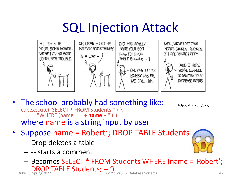# SQL Injection Attack



- The school probably had something like: cur.execute("SELECT \* FROM Students " + \ "WHERE (name = '" + **name** + "')") where name is a string input by user
- Suppose name = Robert'; DROP TABLE Students
	- Drop deletes a table
	- -- starts a comment

– Becomes SELECT \* FROM Students WHERE (name = 'Robert'; DROP TABLE Students; -- 1

http://xkcd.com/327/